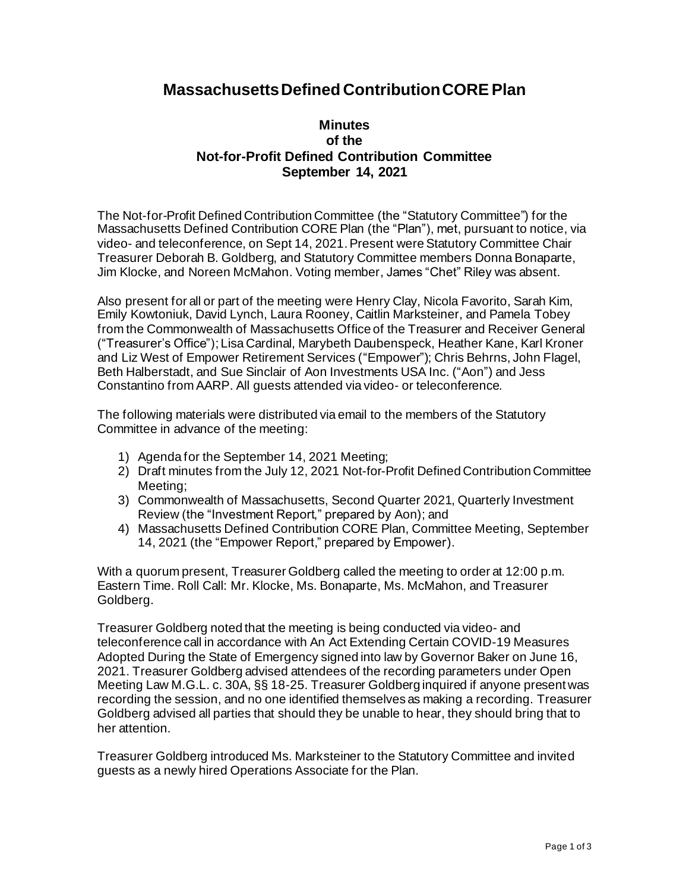## **Massachusetts Defined Contribution CORE Plan**

## **Minutes of the Not-for-Profit Defined Contribution Committee September 14, 2021**

The Not-for-Profit Defined Contribution Committee (the "Statutory Committee") for the Massachusetts Defined Contribution CORE Plan (the "Plan"), met, pursuant to notice, via video- and teleconference, on Sept 14, 2021. Present were Statutory Committee Chair Treasurer Deborah B. Goldberg, and Statutory Committee members Donna Bonaparte, Jim Klocke, and Noreen McMahon. Voting member, James "Chet" Riley was absent.

Also present for all or part of the meeting were Henry Clay, Nicola Favorito, Sarah Kim, Emily Kowtoniuk, David Lynch, Laura Rooney, Caitlin Marksteiner, and Pamela Tobey from the Commonwealth of Massachusetts Office of the Treasurer and Receiver General ("Treasurer's Office"); Lisa Cardinal, Marybeth Daubenspeck, Heather Kane, Karl Kroner and Liz West of Empower Retirement Services ("Empower"); Chris Behrns, John Flagel, Beth Halberstadt, and Sue Sinclair of Aon Investments USA Inc. ("Aon") and Jess Constantino from AARP. All guests attended via video- or teleconference.

The following materials were distributed via email to the members of the Statutory Committee in advance of the meeting:

- 1) Agenda for the September 14, 2021 Meeting;
- 2) Draft minutes from the July 12, 2021 Not-for-Profit Defined Contribution Committee Meeting;
- 3) Commonwealth of Massachusetts, Second Quarter 2021, Quarterly Investment Review (the "Investment Report," prepared by Aon); and
- 4) Massachusetts Defined Contribution CORE Plan, Committee Meeting, September 14, 2021 (the "Empower Report," prepared by Empower).

With a quorum present, Treasurer Goldberg called the meeting to order at 12:00 p.m. Eastern Time. Roll Call: Mr. Klocke, Ms. Bonaparte, Ms. McMahon, and Treasurer Goldberg.

Treasurer Goldberg noted that the meeting is being conducted via video- and teleconference call in accordance with An Act Extending Certain COVID-19 Measures Adopted During the State of Emergency signed into law by Governor Baker on June 16, 2021. Treasurer Goldberg advised attendees of the recording parameters under Open Meeting Law M.G.L. c. 30A, §§ 18-25. Treasurer Goldberg inquired if anyone present was recording the session, and no one identified themselves as making a recording. Treasurer Goldberg advised all parties that should they be unable to hear, they should bring that to her attention.

Treasurer Goldberg introduced Ms. Marksteiner to the Statutory Committee and invited guests as a newly hired Operations Associate for the Plan.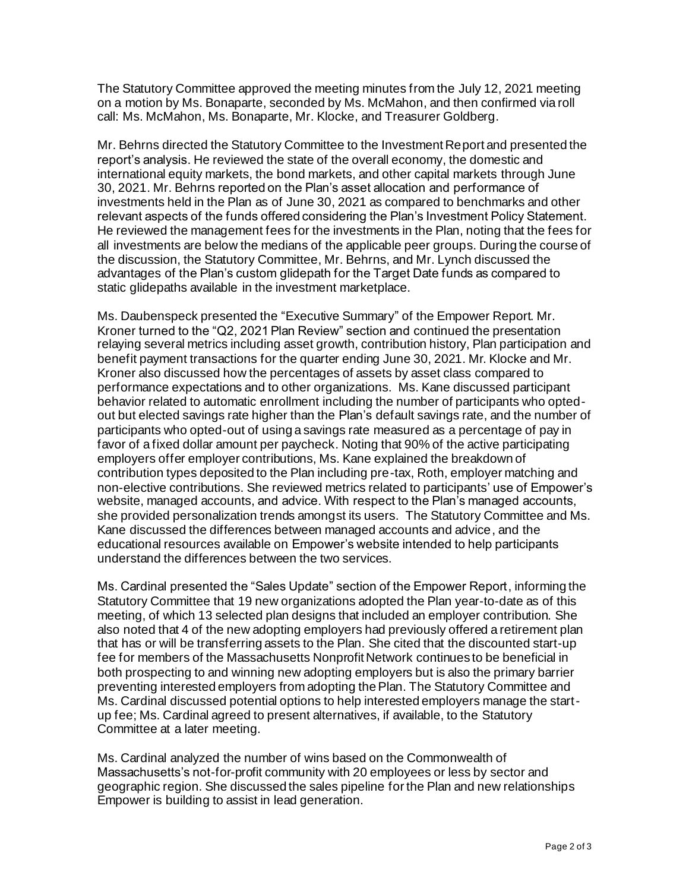The Statutory Committee approved the meeting minutes from the July 12, 2021 meeting on a motion by Ms. Bonaparte, seconded by Ms. McMahon, and then confirmed via roll call: Ms. McMahon, Ms. Bonaparte, Mr. Klocke, and Treasurer Goldberg.

Mr. Behrns directed the Statutory Committee to the Investment Report and presented the report's analysis. He reviewed the state of the overall economy, the domestic and international equity markets, the bond markets, and other capital markets through June 30, 2021. Mr. Behrns reported on the Plan's asset allocation and performance of investments held in the Plan as of June 30, 2021 as compared to benchmarks and other relevant aspects of the funds offered considering the Plan's Investment Policy Statement. He reviewed the management fees for the investments in the Plan, noting that the fees for all investments are below the medians of the applicable peer groups. During the course of the discussion, the Statutory Committee, Mr. Behrns, and Mr. Lynch discussed the advantages of the Plan's custom glidepath for the Target Date funds as compared to static glidepaths available in the investment marketplace.

Ms. Daubenspeck presented the "Executive Summary" of the Empower Report. Mr. Kroner turned to the "Q2, 2021 Plan Review" section and continued the presentation relaying several metrics including asset growth, contribution history, Plan participation and benefit payment transactions for the quarter ending June 30, 2021. Mr. Klocke and Mr. Kroner also discussed how the percentages of assets by asset class compared to performance expectations and to other organizations. Ms. Kane discussed participant behavior related to automatic enrollment including the number of participants who optedout but elected savings rate higher than the Plan's default savings rate, and the number of participants who opted-out of using a savings rate measured as a percentage of pay in favor of a fixed dollar amount per paycheck. Noting that 90% of the active participating employers offer employer contributions, Ms. Kane explained the breakdown of contribution types deposited to the Plan including pre-tax, Roth, employer matching and non-elective contributions. She reviewed metrics related to participants' use of Empower's website, managed accounts, and advice. With respect to the Plan's managed accounts, she provided personalization trends amongst its users. The Statutory Committee and Ms. Kane discussed the differences between managed accounts and advice, and the educational resources available on Empower's website intended to help participants understand the differences between the two services.

Ms. Cardinal presented the "Sales Update" section of the Empower Report, informing the Statutory Committee that 19 new organizations adopted the Plan year-to-date as of this meeting, of which 13 selected plan designs that included an employer contribution. She also noted that 4 of the new adopting employers had previously offered a retirement plan that has or will be transferring assets to the Plan. She cited that the discounted start-up fee for members of the Massachusetts Nonprofit Network continues to be beneficial in both prospecting to and winning new adopting employers but is also the primary barrier preventing interested employers from adopting the Plan. The Statutory Committee and Ms. Cardinal discussed potential options to help interested employers manage the startup fee; Ms. Cardinal agreed to present alternatives, if available, to the Statutory Committee at a later meeting.

Ms. Cardinal analyzed the number of wins based on the Commonwealth of Massachusetts's not-for-profit community with 20 employees or less by sector and geographic region. She discussed the sales pipeline for the Plan and new relationships Empower is building to assist in lead generation.